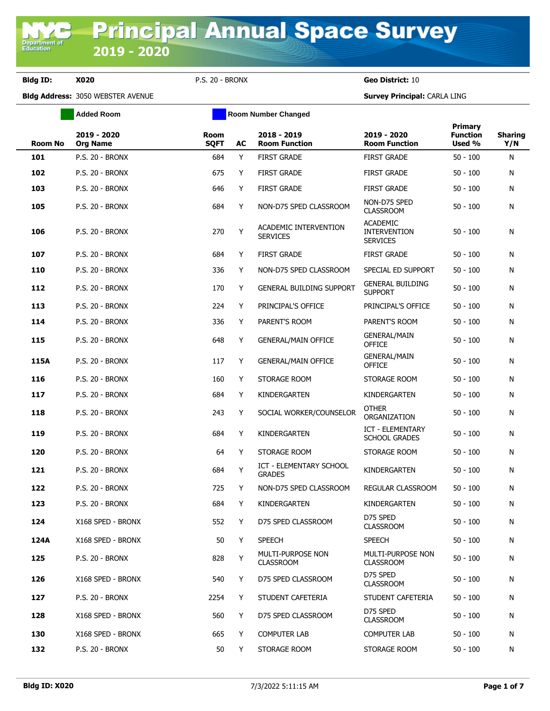**Department of**<br>Education

|                | <b>Added Room</b>              |                            |    | <b>Room Number Changed</b>                      |                                                           |                                      |                       |
|----------------|--------------------------------|----------------------------|----|-------------------------------------------------|-----------------------------------------------------------|--------------------------------------|-----------------------|
| <b>Room No</b> | 2019 - 2020<br><b>Org Name</b> | <b>Room</b><br><b>SQFT</b> | AC | 2018 - 2019<br><b>Room Function</b>             | 2019 - 2020<br><b>Room Function</b>                       | Primary<br><b>Function</b><br>Used % | <b>Sharing</b><br>Y/N |
| 101            | <b>P.S. 20 - BRONX</b>         | 684                        | Y  | <b>FIRST GRADE</b>                              | <b>FIRST GRADE</b>                                        | $50 - 100$                           | N                     |
| 102            | <b>P.S. 20 - BRONX</b>         | 675                        | Y  | <b>FIRST GRADE</b>                              | <b>FIRST GRADE</b>                                        | $50 - 100$                           | N                     |
| 103            | <b>P.S. 20 - BRONX</b>         | 646                        | Y  | <b>FIRST GRADE</b>                              | <b>FIRST GRADE</b>                                        | $50 - 100$                           | N                     |
| 105            | <b>P.S. 20 - BRONX</b>         | 684                        | Y  | NON-D75 SPED CLASSROOM                          | NON-D75 SPED<br><b>CLASSROOM</b>                          | $50 - 100$                           | N                     |
| 106            | <b>P.S. 20 - BRONX</b>         | 270                        | Y  | ACADEMIC INTERVENTION<br><b>SERVICES</b>        | <b>ACADEMIC</b><br><b>INTERVENTION</b><br><b>SERVICES</b> | $50 - 100$                           | N                     |
| 107            | P.S. 20 - BRONX                | 684                        | Y  | <b>FIRST GRADE</b>                              | <b>FIRST GRADE</b>                                        | $50 - 100$                           | N                     |
| 110            | <b>P.S. 20 - BRONX</b>         | 336                        | Y  | NON-D75 SPED CLASSROOM                          | SPECIAL ED SUPPORT                                        | $50 - 100$                           | N                     |
| 112            | <b>P.S. 20 - BRONX</b>         | 170                        | Y  | <b>GENERAL BUILDING SUPPORT</b>                 | <b>GENERAL BUILDING</b><br><b>SUPPORT</b>                 | $50 - 100$                           | N                     |
| 113            | <b>P.S. 20 - BRONX</b>         | 224                        | Y  | PRINCIPAL'S OFFICE                              | PRINCIPAL'S OFFICE                                        | $50 - 100$                           | N                     |
| 114            | <b>P.S. 20 - BRONX</b>         | 336                        | Y  | PARENT'S ROOM                                   | PARENT'S ROOM                                             | $50 - 100$                           | N                     |
| 115            | <b>P.S. 20 - BRONX</b>         | 648                        | Y  | <b>GENERAL/MAIN OFFICE</b>                      | <b>GENERAL/MAIN</b><br><b>OFFICE</b>                      | $50 - 100$                           | N                     |
| 115A           | <b>P.S. 20 - BRONX</b>         | 117                        | Y  | <b>GENERAL/MAIN OFFICE</b>                      | <b>GENERAL/MAIN</b><br><b>OFFICE</b>                      | $50 - 100$                           | N                     |
| 116            | <b>P.S. 20 - BRONX</b>         | 160                        | Y  | STORAGE ROOM                                    | STORAGE ROOM                                              | $50 - 100$                           | N                     |
| 117            | <b>P.S. 20 - BRONX</b>         | 684                        | Y  | KINDERGARTEN                                    | KINDERGARTEN                                              | $50 - 100$                           | N                     |
| 118            | <b>P.S. 20 - BRONX</b>         | 243                        | Y  | SOCIAL WORKER/COUNSELOR                         | <b>OTHER</b><br>ORGANIZATION                              | $50 - 100$                           | N                     |
| 119            | <b>P.S. 20 - BRONX</b>         | 684                        | Y  | KINDERGARTEN                                    | <b>ICT - ELEMENTARY</b><br><b>SCHOOL GRADES</b>           | $50 - 100$                           | N                     |
| 120            | <b>P.S. 20 - BRONX</b>         | 64                         | Y  | STORAGE ROOM                                    | STORAGE ROOM                                              | $50 - 100$                           | N                     |
| 121            | <b>P.S. 20 - BRONX</b>         | 684                        | Y  | <b>ICT - ELEMENTARY SCHOOL</b><br><b>GRADES</b> | KINDERGARTEN                                              | $50 - 100$                           | N                     |
| 122            | <b>P.S. 20 - BRONX</b>         | 725                        | Y  | NON-D75 SPED CLASSROOM                          | REGULAR CLASSROOM                                         | $50 - 100$                           | N                     |
| 123            | <b>P.S. 20 - BRONX</b>         | 684                        | Y  | KINDERGARTEN                                    | KINDERGARTEN                                              | $50 - 100$                           | Ν                     |
| 124            | X168 SPED - BRONX              | 552                        | Y  | D75 SPED CLASSROOM                              | D75 SPED<br><b>CLASSROOM</b>                              | $50 - 100$                           | N                     |
| 124A           | X168 SPED - BRONX              | 50                         | Y  | <b>SPEECH</b>                                   | <b>SPEECH</b>                                             | $50 - 100$                           | N                     |
| 125            | P.S. 20 - BRONX                | 828                        | Y  | MULTI-PURPOSE NON<br><b>CLASSROOM</b>           | MULTI-PURPOSE NON<br><b>CLASSROOM</b>                     | $50 - 100$                           | N                     |
| 126            | X168 SPED - BRONX              | 540                        | Y  | D75 SPED CLASSROOM                              | D75 SPED<br><b>CLASSROOM</b>                              | $50 - 100$                           | N                     |
| 127            | <b>P.S. 20 - BRONX</b>         | 2254                       | Y  | STUDENT CAFETERIA                               | STUDENT CAFETERIA                                         | $50 - 100$                           | N                     |
| 128            | X168 SPED - BRONX              | 560                        | Y  | D75 SPED CLASSROOM                              | D75 SPED<br><b>CLASSROOM</b>                              | $50 - 100$                           | N                     |
| 130            | X168 SPED - BRONX              | 665                        | Y  | <b>COMPUTER LAB</b>                             | <b>COMPUTER LAB</b>                                       | $50 - 100$                           | N                     |
| 132            | <b>P.S. 20 - BRONX</b>         | 50                         | Y  | STORAGE ROOM                                    | STORAGE ROOM                                              | $50 - 100$                           | N                     |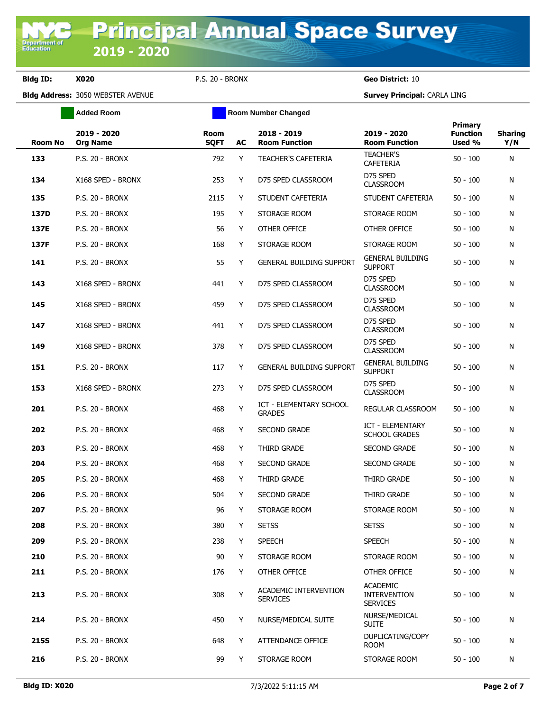**Added Room Room Room Number Changed** 

**Bldg ID: X020** P.S. 20 - BRONX **Geo District:** 10

| <b>Room No</b> | 2019 - 2020<br><b>Org Name</b> | Room<br><b>SQFT</b> | AC | 2018 - 2019<br><b>Room Function</b>      | 2019 - 2020<br><b>Room Function</b>                       | <b>Primary</b><br><b>Function</b><br>Used % | <b>Sharing</b><br>Y/N |
|----------------|--------------------------------|---------------------|----|------------------------------------------|-----------------------------------------------------------|---------------------------------------------|-----------------------|
| 133            | <b>P.S. 20 - BRONX</b>         | 792                 | Y  | <b>TEACHER'S CAFETERIA</b>               | <b>TEACHER'S</b><br><b>CAFETERIA</b>                      | $50 - 100$                                  | N                     |
| 134            | X168 SPED - BRONX              | 253                 | Y  | D75 SPED CLASSROOM                       | D75 SPED<br><b>CLASSROOM</b>                              | $50 - 100$                                  | N                     |
| 135            | <b>P.S. 20 - BRONX</b>         | 2115                | Y  | STUDENT CAFETERIA                        | STUDENT CAFETERIA                                         | $50 - 100$                                  | N                     |
| 137D           | <b>P.S. 20 - BRONX</b>         | 195                 | Y  | STORAGE ROOM                             | STORAGE ROOM                                              | $50 - 100$                                  | N                     |
| 137E           | <b>P.S. 20 - BRONX</b>         | 56                  | Y  | OTHER OFFICE                             | OTHER OFFICE                                              | $50 - 100$                                  | N                     |
| 137F           | <b>P.S. 20 - BRONX</b>         | 168                 | Y  | STORAGE ROOM                             | STORAGE ROOM                                              | $50 - 100$                                  | N                     |
| 141            | P.S. 20 - BRONX                | 55                  | Y  | <b>GENERAL BUILDING SUPPORT</b>          | <b>GENERAL BUILDING</b><br><b>SUPPORT</b>                 | $50 - 100$                                  | N                     |
| 143            | X168 SPED - BRONX              | 441                 | Y  | D75 SPED CLASSROOM                       | D75 SPED<br><b>CLASSROOM</b>                              | $50 - 100$                                  | N                     |
| 145            | X168 SPED - BRONX              | 459                 | Y  | D75 SPED CLASSROOM                       | D75 SPED<br><b>CLASSROOM</b>                              | $50 - 100$                                  | N                     |
| 147            | X168 SPED - BRONX              | 441                 | Y  | D75 SPED CLASSROOM                       | D75 SPED<br><b>CLASSROOM</b>                              | $50 - 100$                                  | N                     |
| 149            | X168 SPED - BRONX              | 378                 | Y  | D75 SPED CLASSROOM                       | D75 SPED<br><b>CLASSROOM</b>                              | $50 - 100$                                  | N                     |
| 151            | <b>P.S. 20 - BRONX</b>         | 117                 | Y  | <b>GENERAL BUILDING SUPPORT</b>          | <b>GENERAL BUILDING</b><br><b>SUPPORT</b>                 | $50 - 100$                                  | N                     |
| 153            | X168 SPED - BRONX              | 273                 | Y  | D75 SPED CLASSROOM                       | D75 SPED<br><b>CLASSROOM</b>                              | $50 - 100$                                  | N                     |
| 201            | <b>P.S. 20 - BRONX</b>         | 468                 | Υ  | ICT - ELEMENTARY SCHOOL<br><b>GRADES</b> | REGULAR CLASSROOM                                         | $50 - 100$                                  | N                     |
| 202            | P.S. 20 - BRONX                | 468                 | Y  | <b>SECOND GRADE</b>                      | <b>ICT - ELEMENTARY</b><br><b>SCHOOL GRADES</b>           | $50 - 100$                                  | N                     |
| 203            | <b>P.S. 20 - BRONX</b>         | 468                 | Y  | THIRD GRADE                              | <b>SECOND GRADE</b>                                       | $50 - 100$                                  | N                     |
| 204            | <b>P.S. 20 - BRONX</b>         | 468                 | Y  | <b>SECOND GRADE</b>                      | <b>SECOND GRADE</b>                                       | $50 - 100$                                  | N                     |
| 205            | <b>P.S. 20 - BRONX</b>         | 468                 | Y  | THIRD GRADE                              | THIRD GRADE                                               | $50 - 100$                                  | N                     |
| 206            | <b>P.S. 20 - BRONX</b>         | 504                 | Y  | <b>SECOND GRADE</b>                      | THIRD GRADE                                               | $50 - 100$                                  | N                     |
| 207            | <b>P.S. 20 - BRONX</b>         | 96                  | Y  | STORAGE ROOM                             | STORAGE ROOM                                              | $50 - 100$                                  | N                     |
| 208            | P.S. 20 - BRONX                | 380                 | Υ  | SETSS                                    | <b>SETSS</b>                                              | $50 - 100$                                  | N                     |
| 209            | <b>P.S. 20 - BRONX</b>         | 238                 | Y  | <b>SPEECH</b>                            | <b>SPEECH</b>                                             | $50 - 100$                                  | N                     |
| 210            | P.S. 20 - BRONX                | 90                  | Y  | STORAGE ROOM                             | STORAGE ROOM                                              | $50 - 100$                                  | N                     |
| 211            | P.S. 20 - BRONX                | 176                 | Y  | OTHER OFFICE                             | OTHER OFFICE                                              | $50 - 100$                                  | N                     |
| 213            | P.S. 20 - BRONX                | 308                 | Υ  | ACADEMIC INTERVENTION<br><b>SERVICES</b> | <b>ACADEMIC</b><br><b>INTERVENTION</b><br><b>SERVICES</b> | $50 - 100$                                  | N                     |
| 214            | <b>P.S. 20 - BRONX</b>         | 450                 | Y  | NURSE/MEDICAL SUITE                      | NURSE/MEDICAL<br><b>SUITE</b>                             | $50 - 100$                                  | N                     |
| 215S           | <b>P.S. 20 - BRONX</b>         | 648                 | Y  | ATTENDANCE OFFICE                        | DUPLICATING/COPY<br><b>ROOM</b>                           | $50 - 100$                                  | N                     |
| 216            | P.S. 20 - BRONX                | 99                  | Y  | STORAGE ROOM                             | STORAGE ROOM                                              | $50 - 100$                                  | N                     |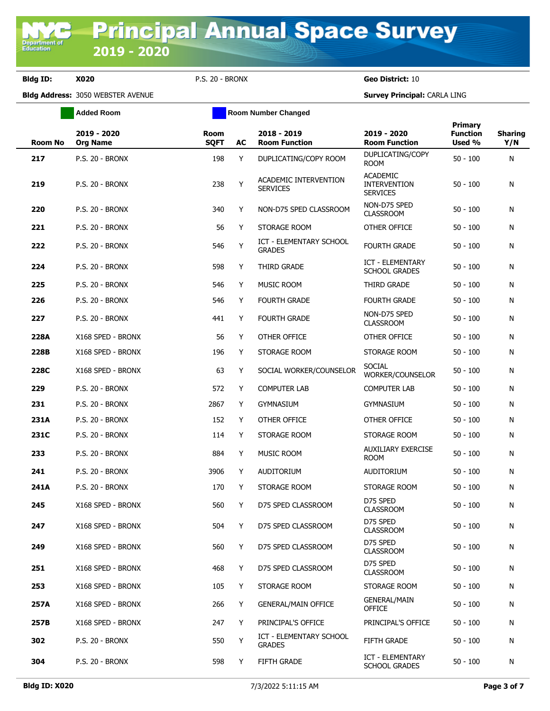**Added Room Room Room Number Changed** 

| <b>Room No</b> | 2019 - 2020<br><b>Org Name</b> | Room<br><b>SQFT</b> | AC | 2018 - 2019<br><b>Room Function</b>      | 2019 - 2020<br><b>Room Function</b>                       | <b>Primary</b><br><b>Function</b><br>Used % | <b>Sharing</b><br>Y/N |
|----------------|--------------------------------|---------------------|----|------------------------------------------|-----------------------------------------------------------|---------------------------------------------|-----------------------|
| 217            | <b>P.S. 20 - BRONX</b>         | 198                 | Y  | DUPLICATING/COPY ROOM                    | DUPLICATING/COPY<br><b>ROOM</b>                           | $50 - 100$                                  | N                     |
| 219            | <b>P.S. 20 - BRONX</b>         | 238                 | Y  | ACADEMIC INTERVENTION<br><b>SERVICES</b> | <b>ACADEMIC</b><br><b>INTERVENTION</b><br><b>SERVICES</b> | $50 - 100$                                  | N                     |
| 220            | <b>P.S. 20 - BRONX</b>         | 340                 | Y  | NON-D75 SPED CLASSROOM                   | NON-D75 SPED<br><b>CLASSROOM</b>                          | $50 - 100$                                  | N                     |
| 221            | <b>P.S. 20 - BRONX</b>         | 56                  | Y  | STORAGE ROOM                             | OTHER OFFICE                                              | $50 - 100$                                  | N                     |
| 222            | <b>P.S. 20 - BRONX</b>         | 546                 | Υ  | ICT - ELEMENTARY SCHOOL<br><b>GRADES</b> | <b>FOURTH GRADE</b>                                       | $50 - 100$                                  | N                     |
| 224            | <b>P.S. 20 - BRONX</b>         | 598                 | Y  | THIRD GRADE                              | ICT - ELEMENTARY<br><b>SCHOOL GRADES</b>                  | $50 - 100$                                  | N                     |
| 225            | <b>P.S. 20 - BRONX</b>         | 546                 | Y  | <b>MUSIC ROOM</b>                        | THIRD GRADE                                               | $50 - 100$                                  | N                     |
| 226            | <b>P.S. 20 - BRONX</b>         | 546                 | Y  | <b>FOURTH GRADE</b>                      | <b>FOURTH GRADE</b>                                       | $50 - 100$                                  | N                     |
| 227            | <b>P.S. 20 - BRONX</b>         | 441                 | Y  | <b>FOURTH GRADE</b>                      | NON-D75 SPED<br><b>CLASSROOM</b>                          | $50 - 100$                                  | N                     |
| 228A           | X168 SPED - BRONX              | 56                  | Y  | OTHER OFFICE                             | OTHER OFFICE                                              | $50 - 100$                                  | N                     |
| 228B           | X168 SPED - BRONX              | 196                 | Y  | STORAGE ROOM                             | STORAGE ROOM                                              | $50 - 100$                                  | N                     |
| 228C           | X168 SPED - BRONX              | 63                  | Y  | SOCIAL WORKER/COUNSELOR                  | <b>SOCIAL</b><br>WORKER/COUNSELOR                         | $50 - 100$                                  | N                     |
| 229            | <b>P.S. 20 - BRONX</b>         | 572                 | Y  | <b>COMPUTER LAB</b>                      | <b>COMPUTER LAB</b>                                       | $50 - 100$                                  | N                     |
| 231            | <b>P.S. 20 - BRONX</b>         | 2867                | Y  | <b>GYMNASIUM</b>                         | <b>GYMNASIUM</b>                                          | $50 - 100$                                  | N                     |
| 231A           | <b>P.S. 20 - BRONX</b>         | 152                 | Y  | OTHER OFFICE                             | OTHER OFFICE                                              | $50 - 100$                                  | N                     |
| 231C           | <b>P.S. 20 - BRONX</b>         | 114                 | Y  | STORAGE ROOM                             | STORAGE ROOM                                              | $50 - 100$                                  | N                     |
| 233            | <b>P.S. 20 - BRONX</b>         | 884                 | Y  | MUSIC ROOM                               | <b>AUXILIARY EXERCISE</b><br><b>ROOM</b>                  | $50 - 100$                                  | N                     |
| 241            | <b>P.S. 20 - BRONX</b>         | 3906                | Y  | AUDITORIUM                               | <b>AUDITORIUM</b>                                         | $50 - 100$                                  | N                     |
| 241A           | <b>P.S. 20 - BRONX</b>         | 170                 | Y  | STORAGE ROOM                             | STORAGE ROOM                                              | $50 - 100$                                  | N                     |
| 245            | X168 SPED - BRONX              | 560                 | Y  | D75 SPED CLASSROOM                       | D75 SPED<br><b>CLASSROOM</b>                              | $50 - 100$                                  | N                     |
| 247            | X168 SPED - BRONX              | 504                 |    | D75 SPED CLASSROOM                       | D75 SPED<br><b>CLASSROOM</b>                              | $50 - 100$                                  | N                     |
| 249            | X168 SPED - BRONX              | 560                 | Y  | D75 SPED CLASSROOM                       | D75 SPED<br><b>CLASSROOM</b>                              | $50 - 100$                                  | N                     |
| 251            | X168 SPED - BRONX              | 468                 | Y  | D75 SPED CLASSROOM                       | D75 SPED<br><b>CLASSROOM</b>                              | $50 - 100$                                  | N                     |
| 253            | X168 SPED - BRONX              | 105                 | Y  | STORAGE ROOM                             | STORAGE ROOM                                              | $50 - 100$                                  | N                     |
| 257A           | X168 SPED - BRONX              | 266                 | Y  | <b>GENERAL/MAIN OFFICE</b>               | <b>GENERAL/MAIN</b><br><b>OFFICE</b>                      | $50 - 100$                                  | N                     |
| 257B           | X168 SPED - BRONX              | 247                 | Y  | PRINCIPAL'S OFFICE                       | PRINCIPAL'S OFFICE                                        | $50 - 100$                                  | N                     |
| 302            | <b>P.S. 20 - BRONX</b>         | 550                 | Υ  | ICT - ELEMENTARY SCHOOL<br><b>GRADES</b> | <b>FIFTH GRADE</b>                                        | $50 - 100$                                  | N                     |
| 304            | P.S. 20 - BRONX                | 598                 | Y  | FIFTH GRADE                              | ICT - ELEMENTARY<br><b>SCHOOL GRADES</b>                  | $50 - 100$                                  | N                     |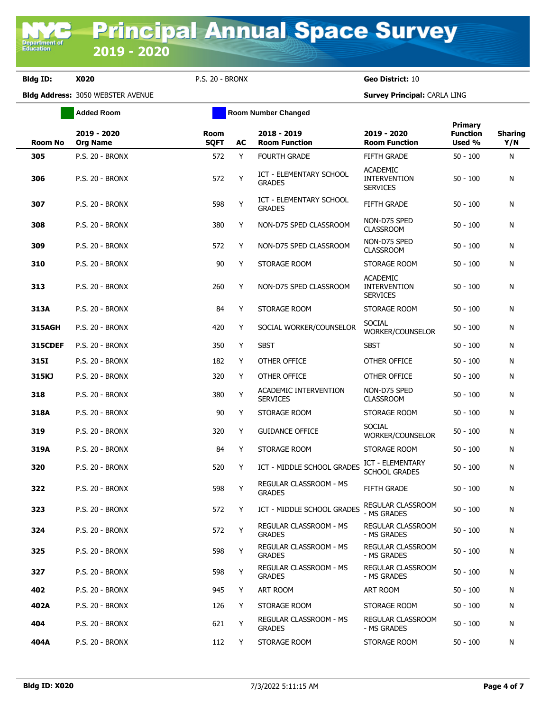|                | <b>Added Room</b>              |                            | <b>Room Number Changed</b> |                                          |                                                           |                                      |                       |
|----------------|--------------------------------|----------------------------|----------------------------|------------------------------------------|-----------------------------------------------------------|--------------------------------------|-----------------------|
| Room No        | 2019 - 2020<br><b>Org Name</b> | <b>Room</b><br><b>SQFT</b> | AC                         | 2018 - 2019<br><b>Room Function</b>      | 2019 - 2020<br><b>Room Function</b>                       | Primary<br><b>Function</b><br>Used % | <b>Sharing</b><br>Y/N |
| 305            | P.S. 20 - BRONX                | 572                        | Y                          | <b>FOURTH GRADE</b>                      | <b>FIFTH GRADE</b>                                        | $50 - 100$                           | N                     |
| 306            | <b>P.S. 20 - BRONX</b>         | 572                        | Y                          | ICT - ELEMENTARY SCHOOL<br><b>GRADES</b> | <b>ACADEMIC</b><br><b>INTERVENTION</b><br><b>SERVICES</b> | $50 - 100$                           | N                     |
| 307            | <b>P.S. 20 - BRONX</b>         | 598                        | Y                          | ICT - ELEMENTARY SCHOOL<br><b>GRADES</b> | FIFTH GRADE                                               | $50 - 100$                           | Ν                     |
| 308            | P.S. 20 - BRONX                | 380                        | Y                          | NON-D75 SPED CLASSROOM                   | NON-D75 SPED<br><b>CLASSROOM</b>                          | $50 - 100$                           | Ν                     |
| 309            | <b>P.S. 20 - BRONX</b>         | 572                        | Y                          | NON-D75 SPED CLASSROOM                   | NON-D75 SPED<br><b>CLASSROOM</b>                          | $50 - 100$                           | N                     |
| 310            | <b>P.S. 20 - BRONX</b>         | 90                         | Y                          | STORAGE ROOM                             | STORAGE ROOM                                              | $50 - 100$                           | N                     |
| 313            | <b>P.S. 20 - BRONX</b>         | 260                        | Y                          | NON-D75 SPED CLASSROOM                   | <b>ACADEMIC</b><br><b>INTERVENTION</b><br><b>SERVICES</b> | $50 - 100$                           | N                     |
| 313A           | <b>P.S. 20 - BRONX</b>         | 84                         | Y                          | STORAGE ROOM                             | STORAGE ROOM                                              | $50 - 100$                           | Ν                     |
| <b>315AGH</b>  | <b>P.S. 20 - BRONX</b>         | 420                        | Y                          | SOCIAL WORKER/COUNSELOR                  | <b>SOCIAL</b><br>WORKER/COUNSELOR                         | $50 - 100$                           | Ν                     |
| <b>315CDEF</b> | <b>P.S. 20 - BRONX</b>         | 350                        | Y                          | <b>SBST</b>                              | <b>SBST</b>                                               | $50 - 100$                           | N                     |
| 315I           | <b>P.S. 20 - BRONX</b>         | 182                        | Y                          | OTHER OFFICE                             | OTHER OFFICE                                              | $50 - 100$                           | N                     |
| 315KJ          | <b>P.S. 20 - BRONX</b>         | 320                        | Y                          | OTHER OFFICE                             | OTHER OFFICE                                              | $50 - 100$                           | N                     |
| 318            | <b>P.S. 20 - BRONX</b>         | 380                        | Y                          | ACADEMIC INTERVENTION<br><b>SERVICES</b> | NON-D75 SPED<br><b>CLASSROOM</b>                          | $50 - 100$                           | N                     |
| 318A           | <b>P.S. 20 - BRONX</b>         | 90                         | Y                          | STORAGE ROOM                             | STORAGE ROOM                                              | $50 - 100$                           | Ν                     |
| 319            | <b>P.S. 20 - BRONX</b>         | 320                        | Y                          | <b>GUIDANCE OFFICE</b>                   | <b>SOCIAL</b><br>WORKER/COUNSELOR                         | $50 - 100$                           | N                     |
| 319A           | <b>P.S. 20 - BRONX</b>         | 84                         | Y                          | STORAGE ROOM                             | STORAGE ROOM                                              | $50 - 100$                           | Ν                     |
| 320            | <b>P.S. 20 - BRONX</b>         | 520                        | Y                          | ICT - MIDDLE SCHOOL GRADES               | ICT - ELEMENTARY<br><b>SCHOOL GRADES</b>                  | $50 - 100$                           | N                     |
| 322            | <b>P.S. 20 - BRONX</b>         | 598                        | Υ                          | REGULAR CLASSROOM - MS<br><b>GRADES</b>  | <b>FIFTH GRADE</b>                                        | $50 - 100$                           | N                     |
| 323            | P.S. 20 - BRONX                | 572                        | Y.                         | ICT - MIDDLE SCHOOL GRADES               | <b>REGULAR CLASSROOM</b><br>- MS GRADES                   | $50 - 100$                           | N                     |
| 324            | <b>P.S. 20 - BRONX</b>         | 572                        | Y                          | REGULAR CLASSROOM - MS<br><b>GRADES</b>  | REGULAR CLASSROOM<br>- MS GRADES                          | $50 - 100$                           | Ν                     |
| 325            | P.S. 20 - BRONX                | 598                        | Y                          | REGULAR CLASSROOM - MS<br><b>GRADES</b>  | REGULAR CLASSROOM<br>- MS GRADES                          | $50 - 100$                           | N                     |
| 327            | P.S. 20 - BRONX                | 598                        | Y                          | REGULAR CLASSROOM - MS<br><b>GRADES</b>  | REGULAR CLASSROOM<br>- MS GRADES                          | $50 - 100$                           | N                     |
| 402            | P.S. 20 - BRONX                | 945                        | Y                          | ART ROOM                                 | ART ROOM                                                  | $50 - 100$                           | N                     |
| 402A           | P.S. 20 - BRONX                | 126                        | Y                          | STORAGE ROOM                             | STORAGE ROOM                                              | $50 - 100$                           | N                     |
| 404            | <b>P.S. 20 - BRONX</b>         | 621                        | Y                          | REGULAR CLASSROOM - MS<br><b>GRADES</b>  | REGULAR CLASSROOM<br>- MS GRADES                          | $50 - 100$                           | Ν                     |
| 404A           | <b>P.S. 20 - BRONX</b>         | 112                        | Y                          | STORAGE ROOM                             | STORAGE ROOM                                              | $50 - 100$                           | N                     |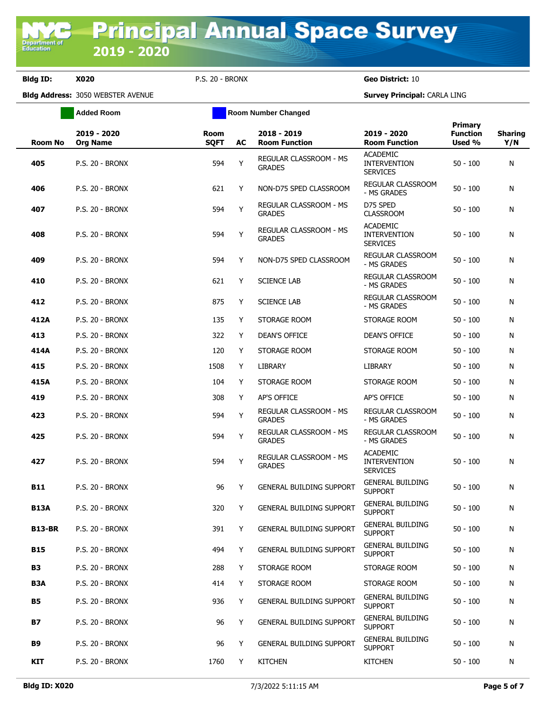**Added Room Room Room Number Changed** 

| <b>Room No</b> | 2019 - 2020<br><b>Org Name</b> | Room<br><b>SQFT</b> | AC | 2018 - 2019<br><b>Room Function</b>     | 2019 - 2020<br><b>Room Function</b>                       | <b>Primary</b><br><b>Function</b><br>Used % | <b>Sharing</b><br>Y/N |
|----------------|--------------------------------|---------------------|----|-----------------------------------------|-----------------------------------------------------------|---------------------------------------------|-----------------------|
| 405            | <b>P.S. 20 - BRONX</b>         | 594                 | Y  | REGULAR CLASSROOM - MS<br><b>GRADES</b> | <b>ACADEMIC</b><br><b>INTERVENTION</b><br><b>SERVICES</b> | $50 - 100$                                  | N                     |
| 406            | P.S. 20 - BRONX                | 621                 | Y  | NON-D75 SPED CLASSROOM                  | <b>REGULAR CLASSROOM</b><br>- MS GRADES                   | $50 - 100$                                  | N                     |
| 407            | <b>P.S. 20 - BRONX</b>         | 594                 | Y  | REGULAR CLASSROOM - MS<br><b>GRADES</b> | D75 SPED<br><b>CLASSROOM</b>                              | $50 - 100$                                  | N                     |
| 408            | <b>P.S. 20 - BRONX</b>         | 594                 | Y  | REGULAR CLASSROOM - MS<br><b>GRADES</b> | <b>ACADEMIC</b><br><b>INTERVENTION</b><br><b>SERVICES</b> | $50 - 100$                                  | N                     |
| 409            | <b>P.S. 20 - BRONX</b>         | 594                 | Y  | NON-D75 SPED CLASSROOM                  | REGULAR CLASSROOM<br>- MS GRADES                          | $50 - 100$                                  | N                     |
| 410            | <b>P.S. 20 - BRONX</b>         | 621                 | Y  | <b>SCIENCE LAB</b>                      | REGULAR CLASSROOM<br>- MS GRADES                          | $50 - 100$                                  | N                     |
| 412            | <b>P.S. 20 - BRONX</b>         | 875                 | Y  | <b>SCIENCE LAB</b>                      | REGULAR CLASSROOM<br>- MS GRADES                          | $50 - 100$                                  | N                     |
| 412A           | <b>P.S. 20 - BRONX</b>         | 135                 | Y  | STORAGE ROOM                            | STORAGE ROOM                                              | $50 - 100$                                  | N                     |
| 413            | <b>P.S. 20 - BRONX</b>         | 322                 | Y  | <b>DEAN'S OFFICE</b>                    | <b>DEAN'S OFFICE</b>                                      | $50 - 100$                                  | N                     |
| 414A           | <b>P.S. 20 - BRONX</b>         | 120                 | Y  | STORAGE ROOM                            | STORAGE ROOM                                              | $50 - 100$                                  | N                     |
| 415            | <b>P.S. 20 - BRONX</b>         | 1508                | Y  | <b>LIBRARY</b>                          | <b>LIBRARY</b>                                            | $50 - 100$                                  | N                     |
| 415A           | P.S. 20 - BRONX                | 104                 | Y  | STORAGE ROOM                            | STORAGE ROOM                                              | $50 - 100$                                  | N                     |
| 419            | <b>P.S. 20 - BRONX</b>         | 308                 | Y  | AP'S OFFICE                             | AP'S OFFICE                                               | $50 - 100$                                  | N                     |
| 423            | <b>P.S. 20 - BRONX</b>         | 594                 | Υ  | REGULAR CLASSROOM - MS<br><b>GRADES</b> | REGULAR CLASSROOM<br>- MS GRADES                          | $50 - 100$                                  | N                     |
| 425            | <b>P.S. 20 - BRONX</b>         | 594                 | Y  | REGULAR CLASSROOM - MS<br><b>GRADES</b> | REGULAR CLASSROOM<br>- MS GRADES                          | $50 - 100$                                  | N                     |
| 427            | <b>P.S. 20 - BRONX</b>         | 594                 | Y  | REGULAR CLASSROOM - MS<br><b>GRADES</b> | <b>ACADEMIC</b><br><b>INTERVENTION</b><br><b>SERVICES</b> | $50 - 100$                                  | N                     |
| <b>B11</b>     | P.S. 20 - BRONX                | 96                  | Y  | <b>GENERAL BUILDING SUPPORT</b>         | <b>GENERAL BUILDING</b><br><b>SUPPORT</b>                 | $50 - 100$                                  | N                     |
| <b>B13A</b>    | <b>P.S. 20 - BRONX</b>         | 320                 | Y  | <b>GENERAL BUILDING SUPPORT</b>         | <b>GENERAL BUILDING</b><br><b>SUPPORT</b>                 | $50 - 100$                                  | N                     |
| <b>B13-BR</b>  | P.S. 20 - BRONX                | 391                 | Y  | <b>GENERAL BUILDING SUPPORT</b>         | <b>GENERAL BUILDING</b><br><b>SUPPORT</b>                 | $50 - 100$                                  | N                     |
| <b>B15</b>     | <b>P.S. 20 - BRONX</b>         | 494                 | Y  | <b>GENERAL BUILDING SUPPORT</b>         | <b>GENERAL BUILDING</b><br><b>SUPPORT</b>                 | $50 - 100$                                  | N                     |
| <b>B3</b>      | <b>P.S. 20 - BRONX</b>         | 288                 | Y  | STORAGE ROOM                            | STORAGE ROOM                                              | $50 - 100$                                  | N                     |
| B3A            | P.S. 20 - BRONX                | 414                 | Y  | STORAGE ROOM                            | STORAGE ROOM                                              | $50 - 100$                                  | N                     |
| <b>B5</b>      | <b>P.S. 20 - BRONX</b>         | 936                 | Y  | <b>GENERAL BUILDING SUPPORT</b>         | <b>GENERAL BUILDING</b><br><b>SUPPORT</b>                 | $50 - 100$                                  | N                     |
| В7             | <b>P.S. 20 - BRONX</b>         | 96                  | Y  | <b>GENERAL BUILDING SUPPORT</b>         | <b>GENERAL BUILDING</b><br><b>SUPPORT</b>                 | $50 - 100$                                  | N                     |
| <b>B9</b>      | <b>P.S. 20 - BRONX</b>         | 96                  | Y  | <b>GENERAL BUILDING SUPPORT</b>         | <b>GENERAL BUILDING</b><br><b>SUPPORT</b>                 | $50 - 100$                                  | N                     |
| KIT            | P.S. 20 - BRONX                | 1760                | Y  | <b>KITCHEN</b>                          | <b>KITCHEN</b>                                            | $50 - 100$                                  | N                     |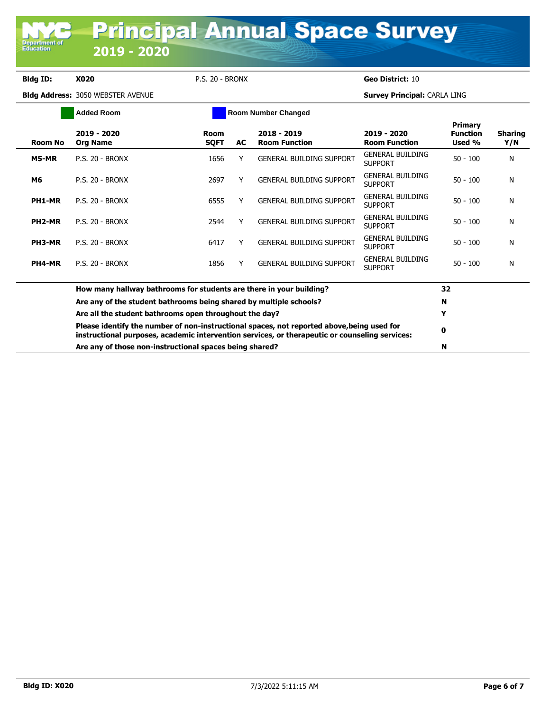**Department o**<br>Education

|                     | <b>Added Room</b>                                                                                                                                                                            |                            |    | <b>Room Number Changed</b>            |                                           |                                             |                       |
|---------------------|----------------------------------------------------------------------------------------------------------------------------------------------------------------------------------------------|----------------------------|----|---------------------------------------|-------------------------------------------|---------------------------------------------|-----------------------|
| <b>Room No</b>      | 2019 - 2020<br><b>Org Name</b>                                                                                                                                                               | <b>Room</b><br><b>SQFT</b> | AC | $2018 - 2019$<br><b>Room Function</b> | 2019 - 2020<br><b>Room Function</b>       | <b>Primary</b><br><b>Function</b><br>Used % | <b>Sharing</b><br>Y/N |
| M5-MR               | <b>P.S. 20 - BRONX</b>                                                                                                                                                                       | 1656                       |    | <b>GENERAL BUILDING SUPPORT</b>       | <b>GENERAL BUILDING</b><br><b>SUPPORT</b> | $50 - 100$                                  | N                     |
| M6                  | <b>P.S. 20 - BRONX</b>                                                                                                                                                                       | 2697                       | Y  | <b>GENERAL BUILDING SUPPORT</b>       | <b>GENERAL BUILDING</b><br><b>SUPPORT</b> | $50 - 100$                                  | N                     |
| PH1-MR              | <b>P.S. 20 - BRONX</b>                                                                                                                                                                       | 6555                       | Y  | <b>GENERAL BUILDING SUPPORT</b>       | <b>GENERAL BUILDING</b><br><b>SUPPORT</b> | $50 - 100$                                  | N                     |
| PH <sub>2</sub> -MR | <b>P.S. 20 - BRONX</b>                                                                                                                                                                       | 2544                       | Y  | <b>GENERAL BUILDING SUPPORT</b>       | <b>GENERAL BUILDING</b><br><b>SUPPORT</b> | $50 - 100$                                  | N                     |
| PH3-MR              | <b>P.S. 20 - BRONX</b>                                                                                                                                                                       | 6417                       |    | <b>GENERAL BUILDING SUPPORT</b>       | <b>GENERAL BUILDING</b><br><b>SUPPORT</b> | $50 - 100$                                  | N                     |
| PH4-MR              | <b>P.S. 20 - BRONX</b>                                                                                                                                                                       | 1856                       |    | <b>GENERAL BUILDING SUPPORT</b>       | <b>GENERAL BUILDING</b><br><b>SUPPORT</b> | $50 - 100$                                  | N                     |
|                     | How many hallway bathrooms for students are there in your building?                                                                                                                          |                            |    |                                       |                                           | 32                                          |                       |
|                     | Are any of the student bathrooms being shared by multiple schools?                                                                                                                           |                            |    |                                       |                                           | N                                           |                       |
|                     | Are all the student bathrooms open throughout the day?                                                                                                                                       | Y                          |    |                                       |                                           |                                             |                       |
|                     | Please identify the number of non-instructional spaces, not reported above, being used for<br>instructional purposes, academic intervention services, or therapeutic or counseling services: | 0                          |    |                                       |                                           |                                             |                       |
|                     | Are any of those non-instructional spaces being shared?                                                                                                                                      | N                          |    |                                       |                                           |                                             |                       |